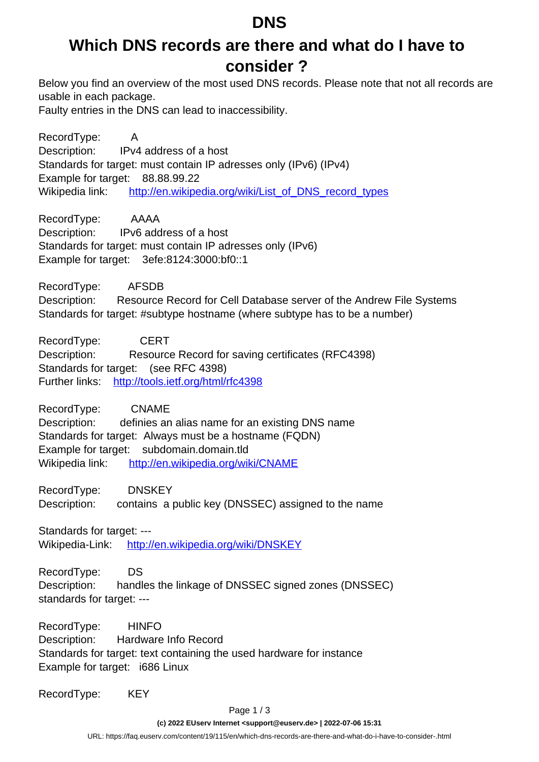#### **DNS**

### **Which DNS records are there and what do I have to consider ?**

Below you find an overview of the most used DNS records. Please note that not all records are usable in each package.

Faulty entries in the DNS can lead to inaccessibility.

RecordType: A Description: IPv4 address of a host Standards for target: must contain IP adresses only (IPv6) (IPv4) Example for target: 88.88.99.22 Wikipedia link: [http://en.wikipedia.org/wiki/List\\_of\\_DNS\\_record\\_types](http://en.wikipedia.org/wiki/List_of_DNS_record_types)

RecordType: AAAA Description: IPv6 address of a host Standards for target: must contain IP adresses only (IPv6) Example for target: 3efe:8124:3000:bf0::1

RecordType: AFSDB Description: Resource Record for Cell Database server of the Andrew File Systems Standards for target: #subtype hostname (where subtype has to be a number)

RecordType: CERT Description: Resource Record for saving certificates (RFC4398) Standards for target: (see RFC 4398) Further links: <http://tools.ietf.org/html/rfc4398>

RecordType: CNAME Description: definies an alias name for an existing DNS name Standards for target: Always must be a hostname (FQDN) Example for target: subdomain.domain.tld Wikipedia link: <http://en.wikipedia.org/wiki/CNAME>

RecordType: DNSKEY

Description: contains a public key (DNSSEC) assigned to the name

Standards for target: ---Wikipedia-Link: <http://en.wikipedia.org/wiki/DNSKEY>

RecordType: DS Description: handles the linkage of DNSSEC signed zones (DNSSEC) standards for target: ---

RecordType: HINFO Description: Hardware Info Record Standards for target: text containing the used hardware for instance Example for target: i686 Linux

RecordType: KEY

Page 1 / 3

**(c) 2022 EUserv Internet <support@euserv.de> | 2022-07-06 15:31**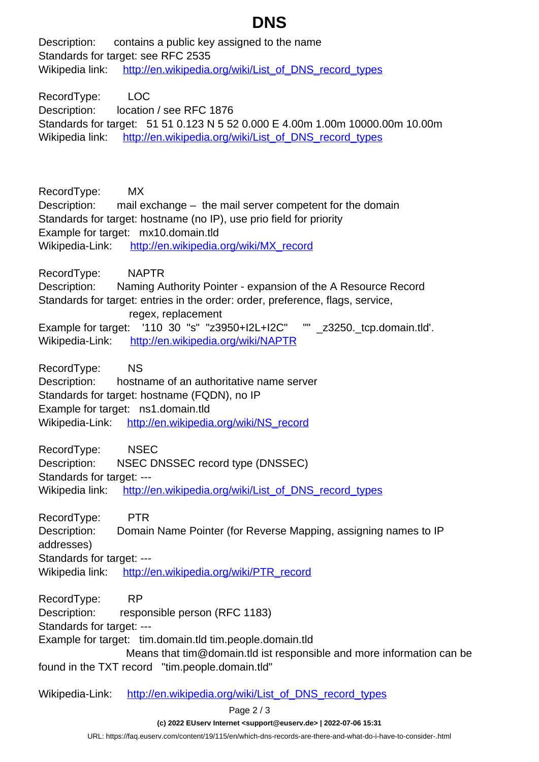# **DNS**

Description: contains a public key assigned to the name Standards for target: see RFC 2535 Wikipedia link: [http://en.wikipedia.org/wiki/List\\_of\\_DNS\\_record\\_types](http://en.wikipedia.org/wiki/List_of_DNS_record_types)

RecordType: LOC Description: location / see RFC 1876 Standards for target: 51 51 0.123 N 5 52 0.000 E 4.00m 1.00m 10000.00m 10.00m Wikipedia link: [http://en.wikipedia.org/wiki/List\\_of\\_DNS\\_record\\_types](http://en.wikipedia.org/wiki/List_of_DNS_record_types)

RecordType: MX Description: mail exchange – the mail server competent for the domain Standards for target: hostname (no IP), use prio field for priority Example for target: mx10.domain.tld Wikipedia-Link: [http://en.wikipedia.org/wiki/MX\\_record](http://en.wikipedia.org/wiki/MX_record)

RecordType: NAPTR Description: Naming Authority Pointer - expansion of the A Resource Record Standards for target: entries in the order: order, preference, flags, service, regex, replacement Example for target: '110 30 "s" "z3950+I2L+I2C" "" \_z3250.\_tcp.domain.tld'. Wikipedia-Link: <http://en.wikipedia.org/wiki/NAPTR>

RecordType: NS Description: hostname of an authoritative name server Standards for target: hostname (FQDN), no IP Example for target: ns1.domain.tld Wikipedia-Link: [http://en.wikipedia.org/wiki/NS\\_record](http://en.wikipedia.org/wiki/NS_record)

RecordType: NSEC Description: NSEC DNSSEC record type (DNSSEC) Standards for target: -- Wikipedia link: [http://en.wikipedia.org/wiki/List\\_of\\_DNS\\_record\\_types](http://en.wikipedia.org/wiki/List_of_DNS_record_types)

RecordType: PTR Description: Domain Name Pointer (for Reverse Mapping, assigning names to IP addresses) Standards for target: --- Wikipedia link: [http://en.wikipedia.org/wiki/PTR\\_record](http://en.wikipedia.org/wiki/PTR_record)

RecordType: RP Description: responsible person (RFC 1183) Standards for target: --- Example for target: tim.domain.tld tim.people.domain.tld Means that tim@domain.tld ist responsible and more information can be found in the TXT record "tim.people.domain.tld"

Wikipedia-Link: [http://en.wikipedia.org/wiki/List\\_of\\_DNS\\_record\\_types](http://en.wikipedia.org/wiki/List_of_DNS_record_types)

Page 2 / 3

**(c) 2022 EUserv Internet <support@euserv.de> | 2022-07-06 15:31**

[URL: https://faq.euserv.com/content/19/115/en/which-dns-records-are-there-and-what-do-i-have-to-consider-.html](https://faq.euserv.com/content/19/115/en/which-dns-records-are-there-and-what-do-i-have-to-consider-.html)